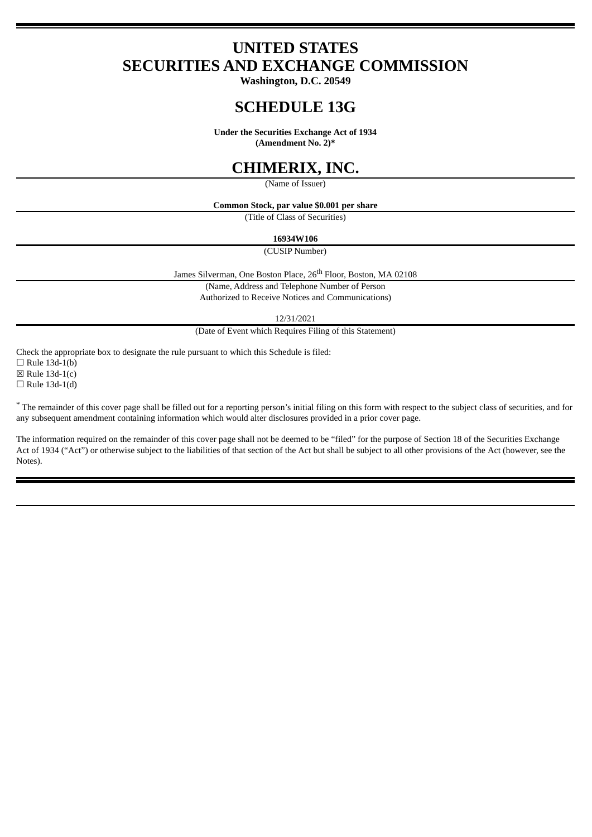# **UNITED STATES SECURITIES AND EXCHANGE COMMISSION**

**Washington, D.C. 20549**

# **SCHEDULE 13G**

**Under the Securities Exchange Act of 1934**

**(Amendment No. 2)\***

# **CHIMERIX, INC.**

(Name of Issuer)

**Common Stock, par value \$0.001 per share**

(Title of Class of Securities)

### **16934W106**

(CUSIP Number)

James Silverman, One Boston Place, 26<sup>th</sup> Floor, Boston, MA 02108

(Name, Address and Telephone Number of Person

Authorized to Receive Notices and Communications)

12/31/2021

(Date of Event which Requires Filing of this Statement)

Check the appropriate box to designate the rule pursuant to which this Schedule is filed:

 $\Box$  Rule 13d-1(b)  $\boxtimes$  Rule 13d-1(c)

 $\Box$  Rule 13d-1(d)

\* The remainder of this cover page shall be filled out for a reporting person's initial filing on this form with respect to the subject class of securities, and for any subsequent amendment containing information which would alter disclosures provided in a prior cover page.

The information required on the remainder of this cover page shall not be deemed to be "filed" for the purpose of Section 18 of the Securities Exchange Act of 1934 ("Act") or otherwise subject to the liabilities of that section of the Act but shall be subject to all other provisions of the Act (however, see the Notes).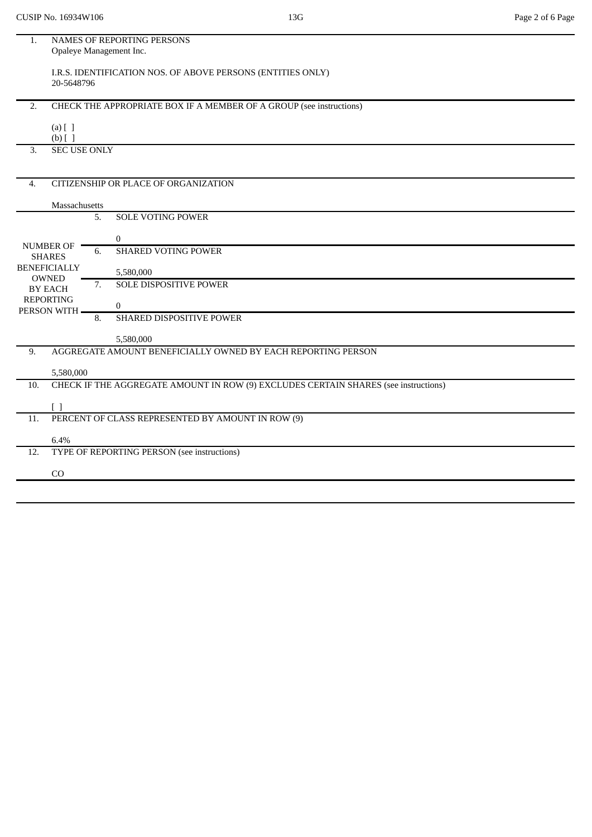| 1.               | NAMES OF REPORTING PERSONS                                                          |
|------------------|-------------------------------------------------------------------------------------|
|                  | Opaleye Management Inc.                                                             |
|                  |                                                                                     |
|                  | I.R.S. IDENTIFICATION NOS. OF ABOVE PERSONS (ENTITIES ONLY)                         |
|                  | 20-5648796                                                                          |
|                  |                                                                                     |
| 2.               | CHECK THE APPROPRIATE BOX IF A MEMBER OF A GROUP (see instructions)                 |
|                  | $(a)$ [ ]                                                                           |
|                  | $(b)$ [ ]                                                                           |
| 3.               | <b>SEC USE ONLY</b>                                                                 |
|                  |                                                                                     |
|                  |                                                                                     |
| $\overline{4}$ . | CITIZENSHIP OR PLACE OF ORGANIZATION                                                |
|                  |                                                                                     |
|                  | Massachusetts                                                                       |
|                  | <b>SOLE VOTING POWER</b><br>5.                                                      |
|                  |                                                                                     |
|                  | $\overline{0}$<br>NUMBER OF                                                         |
|                  | <b>SHARED VOTING POWER</b><br>6.<br><b>SHARES</b>                                   |
|                  | <b>BENEFICIALLY</b><br>5,580,000                                                    |
|                  | <b>OWNED</b><br><b>SOLE DISPOSITIVE POWER</b><br>7.                                 |
|                  | <b>BY EACH</b>                                                                      |
|                  | <b>REPORTING</b><br>$\mathbf{0}$                                                    |
|                  | PERSON WITH.<br>SHARED DISPOSITIVE POWER<br>8.                                      |
|                  |                                                                                     |
|                  | 5,580,000                                                                           |
| 9.               | AGGREGATE AMOUNT BENEFICIALLY OWNED BY EACH REPORTING PERSON                        |
|                  |                                                                                     |
|                  | 5,580,000                                                                           |
| 10.              | CHECK IF THE AGGREGATE AMOUNT IN ROW (9) EXCLUDES CERTAIN SHARES (see instructions) |
|                  | Γl                                                                                  |
| 11.              | PERCENT OF CLASS REPRESENTED BY AMOUNT IN ROW (9)                                   |
|                  |                                                                                     |
|                  | 6.4%                                                                                |
| 12.              | TYPE OF REPORTING PERSON (see instructions)                                         |
|                  |                                                                                     |
|                  | CO                                                                                  |
|                  |                                                                                     |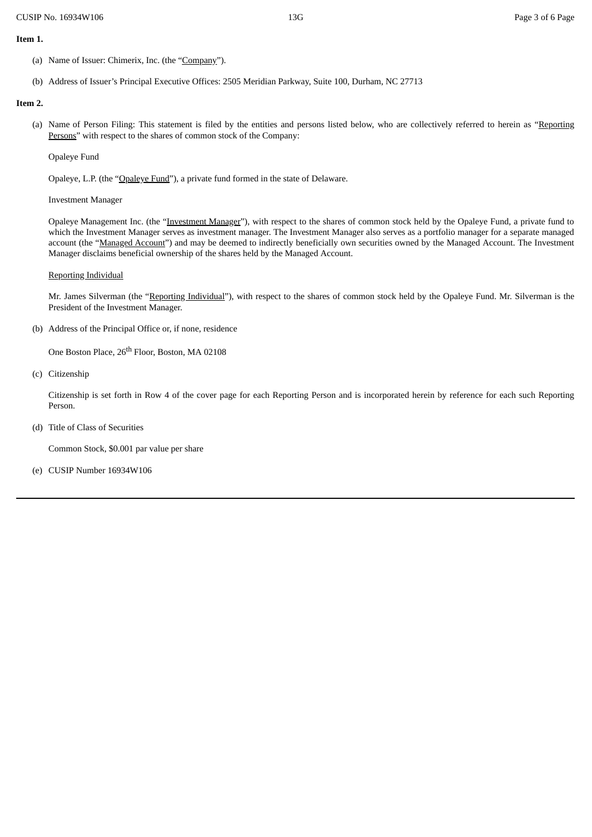#### **Item 1.**

- (a) Name of Issuer: Chimerix, Inc. (the "Company").
- (b) Address of Issuer's Principal Executive Offices: 2505 Meridian Parkway, Suite 100, Durham, NC 27713

### **Item 2.**

(a) Name of Person Filing: This statement is filed by the entities and persons listed below, who are collectively referred to herein as "Reporting Persons" with respect to the shares of common stock of the Company:

Opaleye Fund

Opaleye, L.P. (the "Opaleye Fund"), a private fund formed in the state of Delaware.

Investment Manager

Opaleye Management Inc. (the "Investment Manager"), with respect to the shares of common stock held by the Opaleye Fund, a private fund to which the Investment Manager serves as investment manager. The Investment Manager also serves as a portfolio manager for a separate managed account (the "Managed Account") and may be deemed to indirectly beneficially own securities owned by the Managed Account. The Investment Manager disclaims beneficial ownership of the shares held by the Managed Account.

### Reporting Individual

Mr. James Silverman (the "Reporting Individual"), with respect to the shares of common stock held by the Opaleye Fund. Mr. Silverman is the President of the Investment Manager.

(b) Address of the Principal Office or, if none, residence

One Boston Place, 26<sup>th</sup> Floor, Boston, MA 02108

(c) Citizenship

Citizenship is set forth in Row 4 of the cover page for each Reporting Person and is incorporated herein by reference for each such Reporting Person.

(d) Title of Class of Securities

Common Stock, \$0.001 par value per share

(e) CUSIP Number 16934W106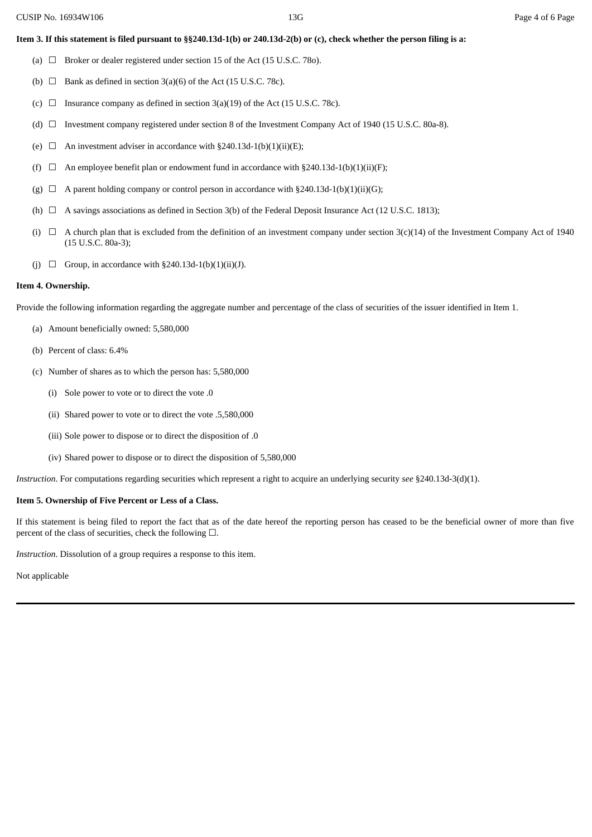### Item 3. If this statement is filed pursuant to §§240.13d-1(b) or 240.13d-2(b) or (c), check whether the person filing is a:

- (a)  $\Box$  Broker or dealer registered under section 15 of the Act (15 U.S.C. 780).
- (b)  $\Box$  Bank as defined in section 3(a)(6) of the Act (15 U.S.C. 78c).
- (c)  $\Box$  Insurance company as defined in section 3(a)(19) of the Act (15 U.S.C. 78c).
- (d) ☐ Investment company registered under section 8 of the Investment Company Act of 1940 (15 U.S.C. 80a-8).
- (e)  $\Box$  An investment adviser in accordance with §240.13d-1(b)(1)(ii)(E);
- (f)  $\Box$  An employee benefit plan or endowment fund in accordance with §240.13d-1(b)(1)(ii)(F);
- (g)  $\Box$  A parent holding company or control person in accordance with §240.13d-1(b)(1)(ii)(G);
- (h)  $\Box$  A savings associations as defined in Section 3(b) of the Federal Deposit Insurance Act (12 U.S.C. 1813);
- (i)  $\Box$  A church plan that is excluded from the definition of an investment company under section 3(c)(14) of the Investment Company Act of 1940 (15 U.S.C. 80a-3);
- (j)  $\Box$  Group, in accordance with §240.13d-1(b)(1)(ii)(J).

#### **Item 4. Ownership.**

Provide the following information regarding the aggregate number and percentage of the class of securities of the issuer identified in Item 1.

- (a) Amount beneficially owned: 5,580,000
- (b) Percent of class: 6.4%
- (c) Number of shares as to which the person has: 5,580,000
	- (i) Sole power to vote or to direct the vote .0
	- (ii) Shared power to vote or to direct the vote .5,580,000
	- (iii) Sole power to dispose or to direct the disposition of .0
	- (iv) Shared power to dispose or to direct the disposition of 5,580,000

*Instruction*. For computations regarding securities which represent a right to acquire an underlying security *see* §240.13d-3(d)(1).

#### **Item 5. Ownership of Five Percent or Less of a Class.**

If this statement is being filed to report the fact that as of the date hereof the reporting person has ceased to be the beneficial owner of more than five percent of the class of securities, check the following  $\square$ .

*Instruction*. Dissolution of a group requires a response to this item.

Not applicable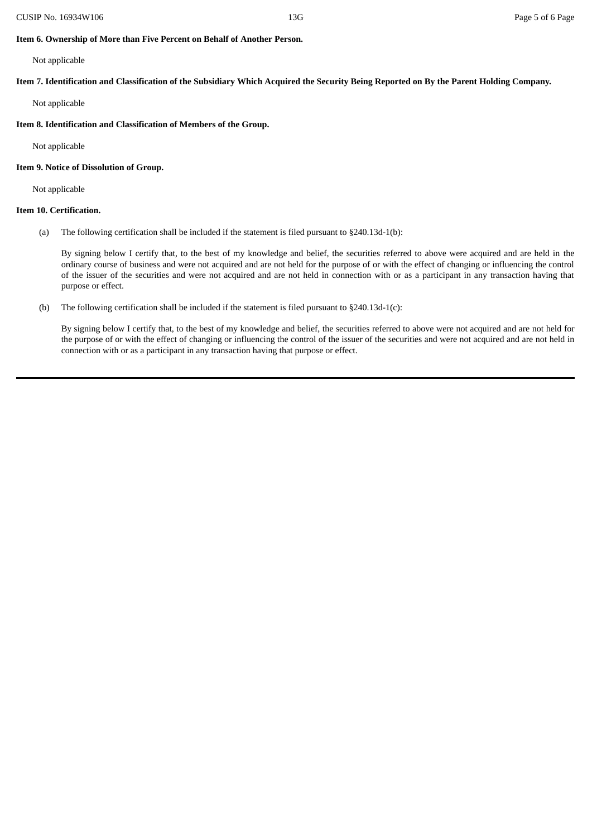### **Item 6. Ownership of More than Five Percent on Behalf of Another Person.**

Not applicable

Item 7. Identification and Classification of the Subsidiary Which Acquired the Security Being Reported on By the Parent Holding Company.

Not applicable

## **Item 8. Identification and Classification of Members of the Group.**

Not applicable

## **Item 9. Notice of Dissolution of Group.**

Not applicable

## **Item 10. Certification.**

(a) The following certification shall be included if the statement is filed pursuant to §240.13d-1(b):

By signing below I certify that, to the best of my knowledge and belief, the securities referred to above were acquired and are held in the ordinary course of business and were not acquired and are not held for the purpose of or with the effect of changing or influencing the control of the issuer of the securities and were not acquired and are not held in connection with or as a participant in any transaction having that purpose or effect.

(b) The following certification shall be included if the statement is filed pursuant to §240.13d-1(c):

By signing below I certify that, to the best of my knowledge and belief, the securities referred to above were not acquired and are not held for the purpose of or with the effect of changing or influencing the control of the issuer of the securities and were not acquired and are not held in connection with or as a participant in any transaction having that purpose or effect.